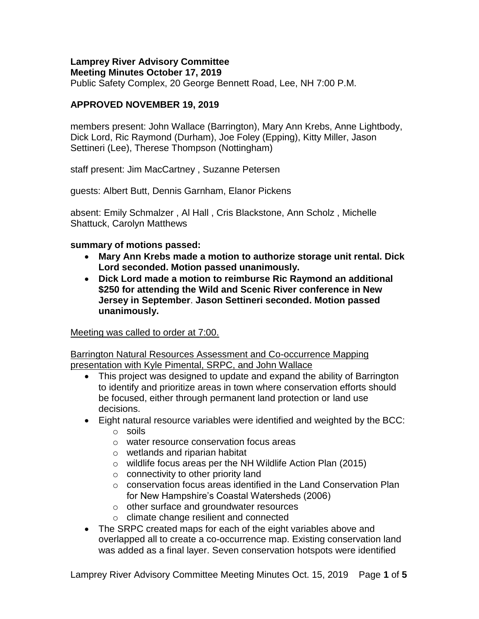#### **Lamprey River Advisory Committee Meeting Minutes October 17, 2019**

Public Safety Complex, 20 George Bennett Road, Lee, NH 7:00 P.M.

# **APPROVED NOVEMBER 19, 2019**

members present: John Wallace (Barrington), Mary Ann Krebs, Anne Lightbody, Dick Lord, Ric Raymond (Durham), Joe Foley (Epping), Kitty Miller, Jason Settineri (Lee), Therese Thompson (Nottingham)

staff present: Jim MacCartney , Suzanne Petersen

guests: Albert Butt, Dennis Garnham, Elanor Pickens

absent: Emily Schmalzer , Al Hall , Cris Blackstone, Ann Scholz , Michelle Shattuck, Carolyn Matthews

**summary of motions passed:**

- **Mary Ann Krebs made a motion to authorize storage unit rental. Dick Lord seconded. Motion passed unanimously.**
- **Dick Lord made a motion to reimburse Ric Raymond an additional \$250 for attending the Wild and Scenic River conference in New Jersey in September**. **Jason Settineri seconded. Motion passed unanimously.**

## Meeting was called to order at 7:00.

Barrington Natural Resources Assessment and Co-occurrence Mapping presentation with Kyle Pimental, SRPC, and John Wallace

- This project was designed to update and expand the ability of Barrington to identify and prioritize areas in town where conservation efforts should be focused, either through permanent land protection or land use decisions.
- Eight natural resource variables were identified and weighted by the BCC:
	- o soils
	- o water resource conservation focus areas
	- o wetlands and riparian habitat
	- o wildlife focus areas per the NH Wildlife Action Plan (2015)
	- $\circ$  connectivity to other priority land
	- o conservation focus areas identified in the Land Conservation Plan for New Hampshire's Coastal Watersheds (2006)
	- o other surface and groundwater resources
	- o climate change resilient and connected
- The SRPC created maps for each of the eight variables above and overlapped all to create a co-occurrence map. Existing conservation land was added as a final layer. Seven conservation hotspots were identified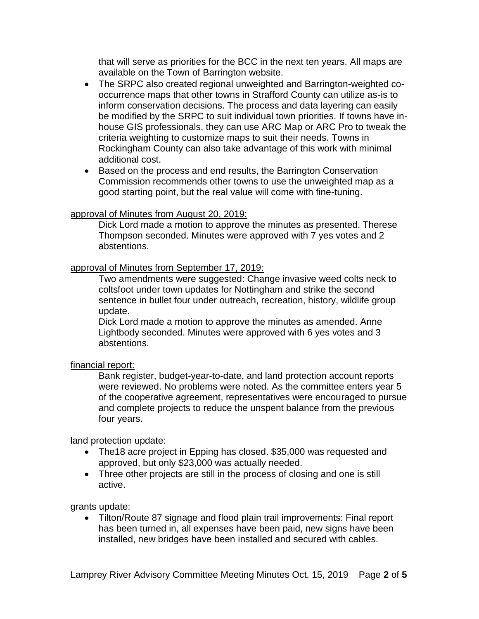that will serve as priorities for the BCC in the next ten years. All maps are available on the Town of Barrington website.

- The SRPC also created regional unweighted and Barrington-weighted cooccurrence maps that other towns in Strafford County can utilize as-is to inform conservation decisions. The process and data layering can easily be modified by the SRPC to suit individual town priorities. If towns have inhouse GIS professionals, they can use ARC Map or ARC Pro to tweak the criteria weighting to customize maps to suit their needs. Towns in Rockingham County can also take advantage of this work with minimal additional cost.
- Based on the process and end results, the Barrington Conservation Commission recommends other towns to use the unweighted map as a good starting point, but the real value will come with fine-tuning.

#### approval of Minutes from August 20, 2019:

Dick Lord made a motion to approve the minutes as presented. Therese Thompson seconded. Minutes were approved with 7 yes votes and 2 abstentions.

### approval of Minutes from September 17, 2019:

Two amendments were suggested: Change invasive weed colts neck to coltsfoot under town updates for Nottingham and strike the second sentence in bullet four under outreach, recreation, history, wildlife group update.

Dick Lord made a motion to approve the minutes as amended. Anne Lightbody seconded. Minutes were approved with 6 yes votes and 3 abstentions.

#### financial report:

Bank register, budget-year-to-date, and land protection account reports were reviewed. No problems were noted. As the committee enters year 5 of the cooperative agreement, representatives were encouraged to pursue and complete projects to reduce the unspent balance from the previous four years.

#### land protection update:

- The18 acre project in Epping has closed. \$35,000 was requested and approved, but only \$23,000 was actually needed.
- Three other projects are still in the process of closing and one is still active.

#### grants update:

 Tilton/Route 87 signage and flood plain trail improvements: Final report has been turned in, all expenses have been paid, new signs have been installed, new bridges have been installed and secured with cables.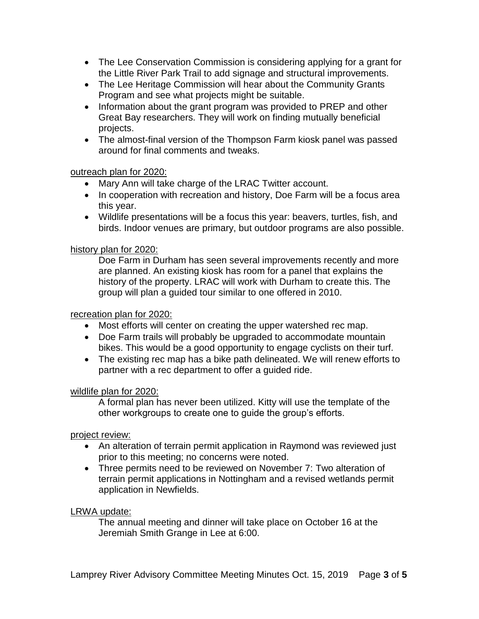- The Lee Conservation Commission is considering applying for a grant for the Little River Park Trail to add signage and structural improvements.
- The Lee Heritage Commission will hear about the Community Grants Program and see what projects might be suitable.
- Information about the grant program was provided to PREP and other Great Bay researchers. They will work on finding mutually beneficial projects.
- The almost-final version of the Thompson Farm kiosk panel was passed around for final comments and tweaks.

### outreach plan for 2020:

- Mary Ann will take charge of the LRAC Twitter account.
- In cooperation with recreation and history, Doe Farm will be a focus area this year.
- Wildlife presentations will be a focus this year: beavers, turtles, fish, and birds. Indoor venues are primary, but outdoor programs are also possible.

### history plan for 2020:

Doe Farm in Durham has seen several improvements recently and more are planned. An existing kiosk has room for a panel that explains the history of the property. LRAC will work with Durham to create this. The group will plan a guided tour similar to one offered in 2010.

### recreation plan for 2020:

- Most efforts will center on creating the upper watershed rec map.
- Doe Farm trails will probably be upgraded to accommodate mountain bikes. This would be a good opportunity to engage cyclists on their turf.
- The existing rec map has a bike path delineated. We will renew efforts to partner with a rec department to offer a guided ride.

## wildlife plan for 2020:

A formal plan has never been utilized. Kitty will use the template of the other workgroups to create one to guide the group's efforts.

## project review:

- An alteration of terrain permit application in Raymond was reviewed just prior to this meeting; no concerns were noted.
- Three permits need to be reviewed on November 7: Two alteration of terrain permit applications in Nottingham and a revised wetlands permit application in Newfields.

#### LRWA update:

The annual meeting and dinner will take place on October 16 at the Jeremiah Smith Grange in Lee at 6:00.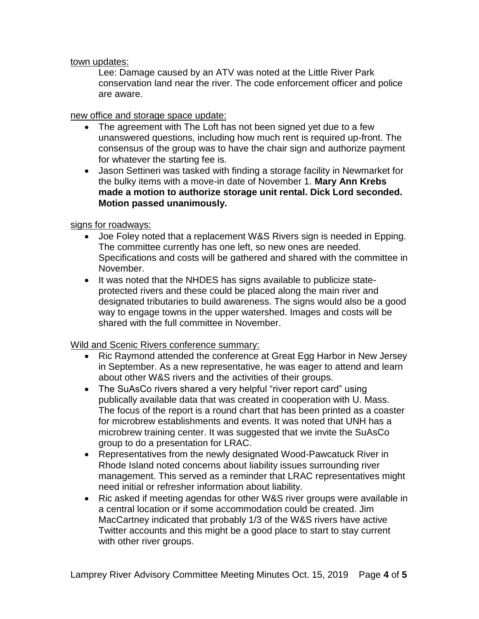town updates:

Lee: Damage caused by an ATV was noted at the Little River Park conservation land near the river. The code enforcement officer and police are aware.

new office and storage space update:

- The agreement with The Loft has not been signed yet due to a few unanswered questions, including how much rent is required up-front. The consensus of the group was to have the chair sign and authorize payment for whatever the starting fee is.
- Jason Settineri was tasked with finding a storage facility in Newmarket for the bulky items with a move-in date of November 1. **Mary Ann Krebs made a motion to authorize storage unit rental. Dick Lord seconded. Motion passed unanimously.**

signs for roadways:

- Joe Foley noted that a replacement W&S Rivers sign is needed in Epping. The committee currently has one left, so new ones are needed. Specifications and costs will be gathered and shared with the committee in November.
- It was noted that the NHDES has signs available to publicize stateprotected rivers and these could be placed along the main river and designated tributaries to build awareness. The signs would also be a good way to engage towns in the upper watershed. Images and costs will be shared with the full committee in November.

Wild and Scenic Rivers conference summary:

- Ric Raymond attended the conference at Great Egg Harbor in New Jersey in September. As a new representative, he was eager to attend and learn about other W&S rivers and the activities of their groups.
- The SuAsCo rivers shared a very helpful "river report card" using publically available data that was created in cooperation with U. Mass. The focus of the report is a round chart that has been printed as a coaster for microbrew establishments and events. It was noted that UNH has a microbrew training center. It was suggested that we invite the SuAsCo group to do a presentation for LRAC.
- Representatives from the newly designated Wood-Pawcatuck River in Rhode Island noted concerns about liability issues surrounding river management. This served as a reminder that LRAC representatives might need initial or refresher information about liability.
- Ric asked if meeting agendas for other W&S river groups were available in a central location or if some accommodation could be created. Jim MacCartney indicated that probably 1/3 of the W&S rivers have active Twitter accounts and this might be a good place to start to stay current with other river groups.